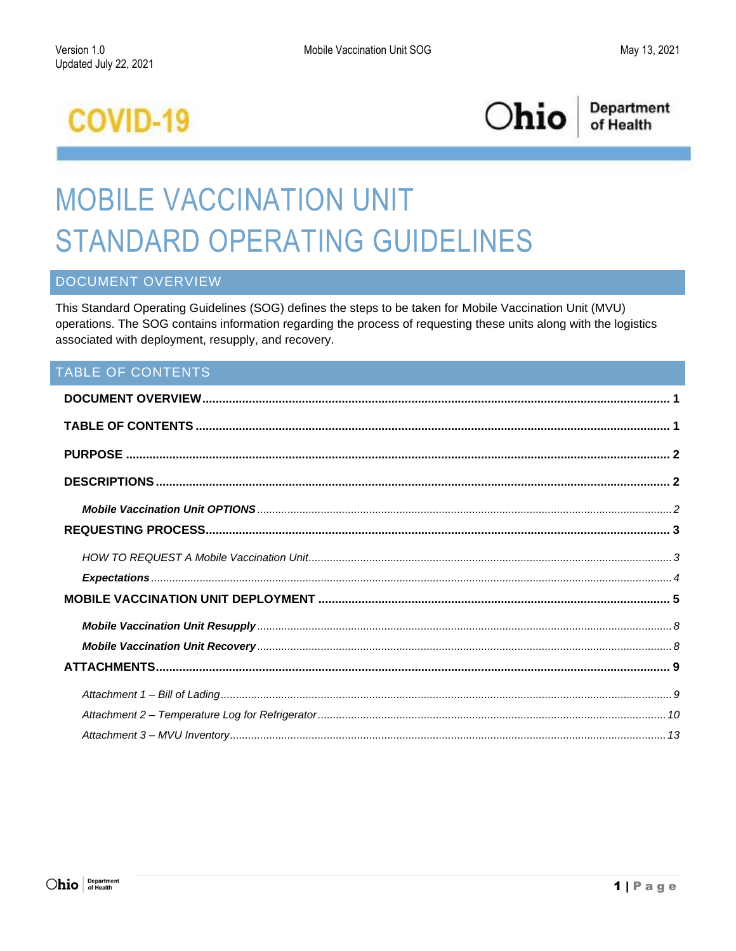



**Department** of Health

# **MOBILE VACCINATION UNIT STANDARD OPERATING GUIDELINES**

# <span id="page-0-0"></span>**DOCUMENT OVERVIEW**

This Standard Operating Guidelines (SOG) defines the steps to be taken for Mobile Vaccination Unit (MVU) operations. The SOG contains information regarding the process of requesting these units along with the logistics associated with deployment, resupply, and recovery.

# <span id="page-0-1"></span>**TABLE OF CONTENTS**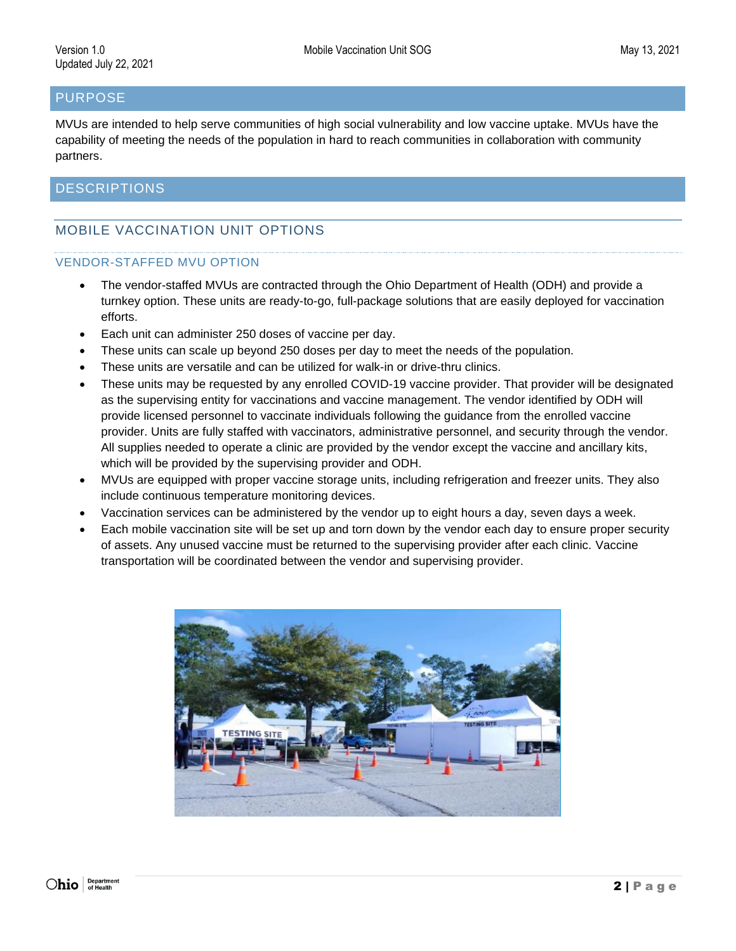# <span id="page-1-0"></span>PURPOSE

MVUs are intended to help serve communities of high social vulnerability and low vaccine uptake. MVUs have the capability of meeting the needs of the population in hard to reach communities in collaboration with community partners.

# <span id="page-1-2"></span><span id="page-1-1"></span>**DESCRIPTIONS**

# MOBILE VACCINATION UNIT OPTIONS

#### VENDOR-STAFFED MVU OPTION

- The vendor-staffed MVUs are contracted through the Ohio Department of Health (ODH) and provide a turnkey option. These units are ready-to-go, full-package solutions that are easily deployed for vaccination efforts.
- Each unit can administer 250 doses of vaccine per day.
- These units can scale up beyond 250 doses per day to meet the needs of the population.
- These units are versatile and can be utilized for walk-in or drive-thru clinics.
- These units may be requested by any enrolled COVID-19 vaccine provider. That provider will be designated as the supervising entity for vaccinations and vaccine management. The vendor identified by ODH will provide licensed personnel to vaccinate individuals following the guidance from the enrolled vaccine provider. Units are fully staffed with vaccinators, administrative personnel, and security through the vendor. All supplies needed to operate a clinic are provided by the vendor except the vaccine and ancillary kits, which will be provided by the supervising provider and ODH.
- MVUs are equipped with proper vaccine storage units, including refrigeration and freezer units. They also include continuous temperature monitoring devices.
- Vaccination services can be administered by the vendor up to eight hours a day, seven days a week.
- Each mobile vaccination site will be set up and torn down by the vendor each day to ensure proper security of assets. Any unused vaccine must be returned to the supervising provider after each clinic. Vaccine transportation will be coordinated between the vendor and supervising provider.

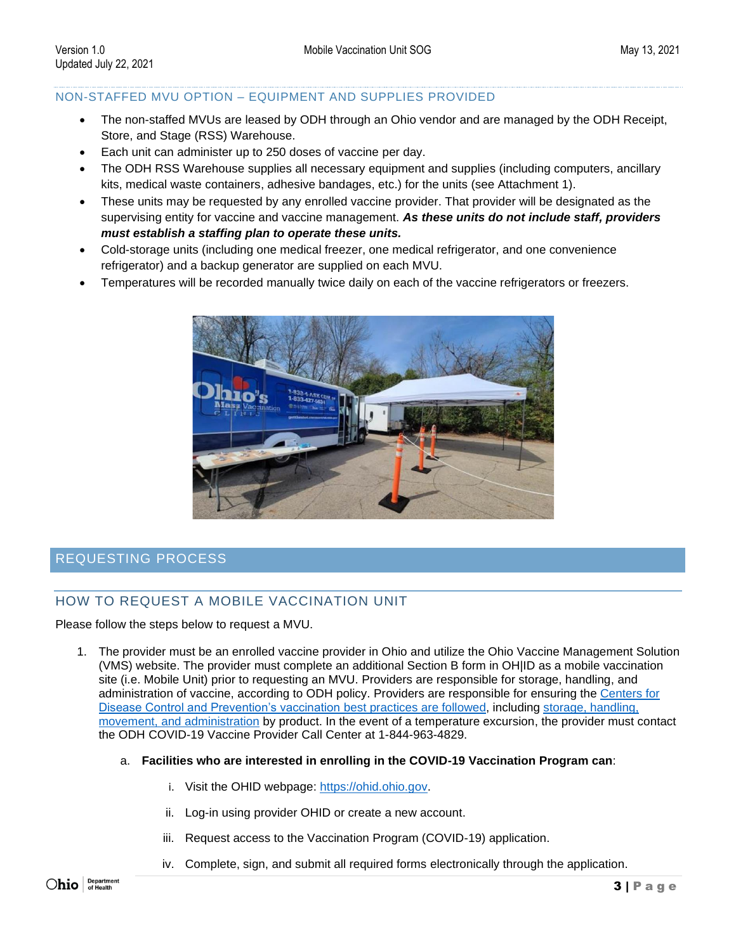# NON-STAFFED MVU OPTION – EQUIPMENT AND SUPPLIES PROVIDED

- The non-staffed MVUs are leased by ODH through an Ohio vendor and are managed by the ODH Receipt, Store, and Stage (RSS) Warehouse.
- Each unit can administer up to 250 doses of vaccine per day.
- The ODH RSS Warehouse supplies all necessary equipment and supplies (including computers, ancillary kits, medical waste containers, adhesive bandages, etc.) for the units (see Attachment 1).
- These units may be requested by any enrolled vaccine provider. That provider will be designated as the supervising entity for vaccine and vaccine management. *As these units do not include staff, providers must establish a staffing plan to operate these units.*
- Cold-storage units (including one medical freezer, one medical refrigerator, and one convenience refrigerator) and a backup generator are supplied on each MVU.
- Temperatures will be recorded manually twice daily on each of the vaccine refrigerators or freezers.



# <span id="page-2-1"></span><span id="page-2-0"></span>REQUESTING PROCESS

# HOW TO REQUEST A MOBILE VACCINATION UNIT

Please follow the steps below to request a MVU.

- 1. The provider must be an enrolled vaccine provider in Ohio and utilize the Ohio Vaccine Management Solution (VMS) website. The provider must complete an additional Section B form in OH|ID as a mobile vaccination site (i.e. Mobile Unit) prior to requesting an MVU. Providers are responsible for storage, handling, and administration of vaccine, according to ODH policy. Providers are responsible for ensuring the [Centers for](https://www.cdc.gov/vaccines/pubs/pinkbook/strat.html)  [Disease Control and Prevention's vaccination best practices](https://www.cdc.gov/vaccines/pubs/pinkbook/strat.html) are followed, including [storage, handling,](https://www.cdc.gov/vaccines/covid-19/info-by-product/index.html)  [movement, and administration](https://www.cdc.gov/vaccines/covid-19/info-by-product/index.html) by product. In the event of a temperature excursion, the provider must contact the ODH COVID-19 Vaccine Provider Call Center at 1-844-963-4829.
	- a. **Facilities who are interested in enrolling in the COVID-19 Vaccination Program can**:
		- i. Visit the OHID webpage: [https://ohid.ohio.gov.](https://ohid.ohio.gov/)
		- ii. Log-in using provider OHID or create a new account.
		- iii. Request access to the Vaccination Program (COVID-19) application.
		- iv. Complete, sign, and submit all required forms electronically through the application.

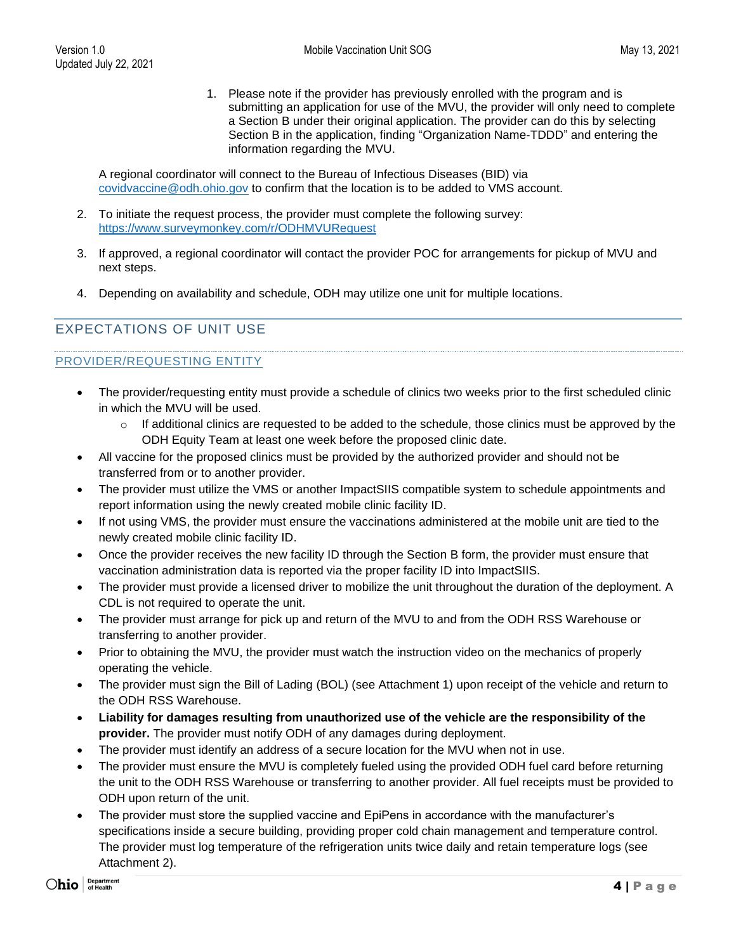1. Please note if the provider has previously enrolled with the program and is submitting an application for use of the MVU, the provider will only need to complete a Section B under their original application. The provider can do this by selecting Section B in the application, finding "Organization Name-TDDD" and entering the information regarding the MVU.

A regional coordinator will connect to the Bureau of Infectious Diseases (BID) via [covidvaccine@odh.ohio.gov](mailto:covidvaccine@odh.ohio.gov) to confirm that the location is to be added to VMS account.

- 2. To initiate the request process, the provider must complete the following survey: <https://www.surveymonkey.com/r/ODHMVURequest>
- 3. If approved, a regional coordinator will contact the provider POC for arrangements for pickup of MVU and next steps.
- 4. Depending on availability and schedule, ODH may utilize one unit for multiple locations.

# <span id="page-3-0"></span>EXPECTATIONS OF UNIT USE

# PROVIDER/REQUESTING ENTITY

- The provider/requesting entity must provide a schedule of clinics two weeks prior to the first scheduled clinic in which the MVU will be used.
	- $\circ$  If additional clinics are requested to be added to the schedule, those clinics must be approved by the ODH Equity Team at least one week before the proposed clinic date.
- All vaccine for the proposed clinics must be provided by the authorized provider and should not be transferred from or to another provider.
- The provider must utilize the VMS or another ImpactSIIS compatible system to schedule appointments and report information using the newly created mobile clinic facility ID.
- If not using VMS, the provider must ensure the vaccinations administered at the mobile unit are tied to the newly created mobile clinic facility ID.
- Once the provider receives the new facility ID through the Section B form, the provider must ensure that vaccination administration data is reported via the proper facility ID into ImpactSIIS.
- The provider must provide a licensed driver to mobilize the unit throughout the duration of the deployment. A CDL is not required to operate the unit.
- The provider must arrange for pick up and return of the MVU to and from the ODH RSS Warehouse or transferring to another provider.
- Prior to obtaining the MVU, the provider must watch the instruction video on the mechanics of properly operating the vehicle.
- The provider must sign the Bill of Lading (BOL) (see Attachment 1) upon receipt of the vehicle and return to the ODH RSS Warehouse.
- **Liability for damages resulting from unauthorized use of the vehicle are the responsibility of the provider.** The provider must notify ODH of any damages during deployment.
- The provider must identify an address of a secure location for the MVU when not in use.
- The provider must ensure the MVU is completely fueled using the provided ODH fuel card before returning the unit to the ODH RSS Warehouse or transferring to another provider. All fuel receipts must be provided to ODH upon return of the unit.
- The provider must store the supplied vaccine and EpiPens in accordance with the manufacturer's specifications inside a secure building, providing proper cold chain management and temperature control. The provider must log temperature of the refrigeration units twice daily and retain temperature logs (see Attachment 2).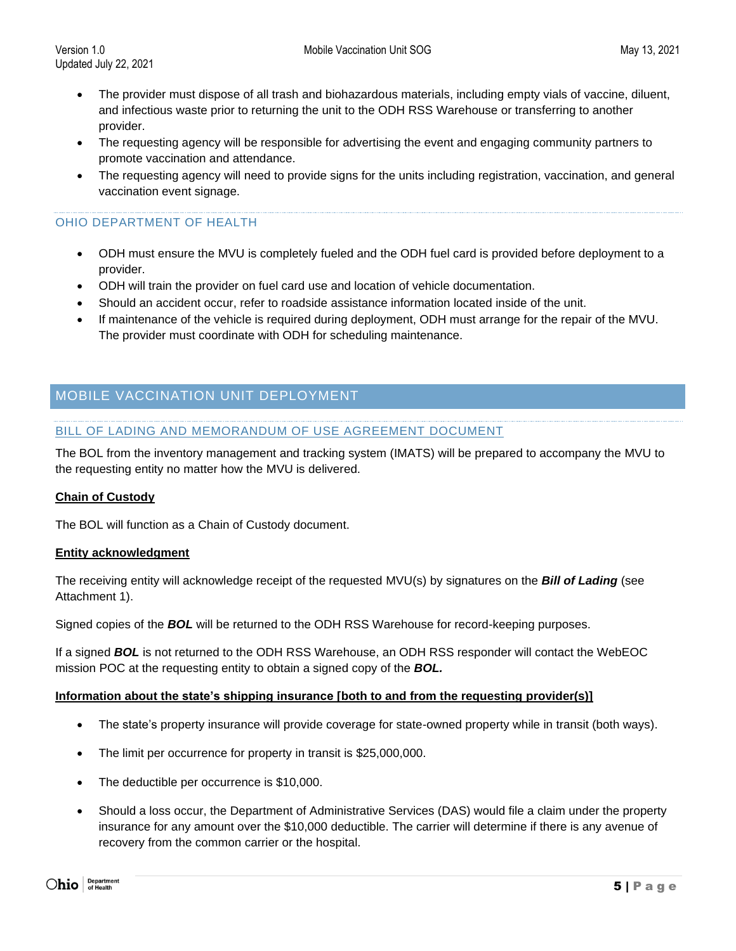- The provider must dispose of all trash and biohazardous materials, including empty vials of vaccine, diluent, and infectious waste prior to returning the unit to the ODH RSS Warehouse or transferring to another provider.
- The requesting agency will be responsible for advertising the event and engaging community partners to promote vaccination and attendance.
- The requesting agency will need to provide signs for the units including registration, vaccination, and general vaccination event signage.

#### OHIO DEPARTMENT OF HEALTH

- ODH must ensure the MVU is completely fueled and the ODH fuel card is provided before deployment to a provider.
- ODH will train the provider on fuel card use and location of vehicle documentation.
- Should an accident occur, refer to roadside assistance information located inside of the unit.
- If maintenance of the vehicle is required during deployment, ODH must arrange for the repair of the MVU. The provider must coordinate with ODH for scheduling maintenance.

# <span id="page-4-0"></span>MOBILE VACCINATION UNIT DEPLOYMENT

#### BILL OF LADING AND MEMORANDUM OF USE AGREEMENT DOCUMENT

The BOL from the inventory management and tracking system (IMATS) will be prepared to accompany the MVU to the requesting entity no matter how the MVU is delivered.

#### **Chain of Custody**

The BOL will function as a Chain of Custody document.

#### **Entity acknowledgment**

The receiving entity will acknowledge receipt of the requested MVU(s) by signatures on the *Bill of Lading* (see Attachment 1).

Signed copies of the *BOL* will be returned to the ODH RSS Warehouse for record-keeping purposes.

If a signed *BOL* is not returned to the ODH RSS Warehouse, an ODH RSS responder will contact the WebEOC mission POC at the requesting entity to obtain a signed copy of the *BOL.*

#### **Information about the state's shipping insurance [both to and from the requesting provider(s)]**

- The state's property insurance will provide coverage for state-owned property while in transit (both ways).
- The limit per occurrence for property in transit is \$25,000,000.
- The deductible per occurrence is \$10,000.
- Should a loss occur, the Department of Administrative Services (DAS) would file a claim under the property insurance for any amount over the \$10,000 deductible. The carrier will determine if there is any avenue of recovery from the common carrier or the hospital.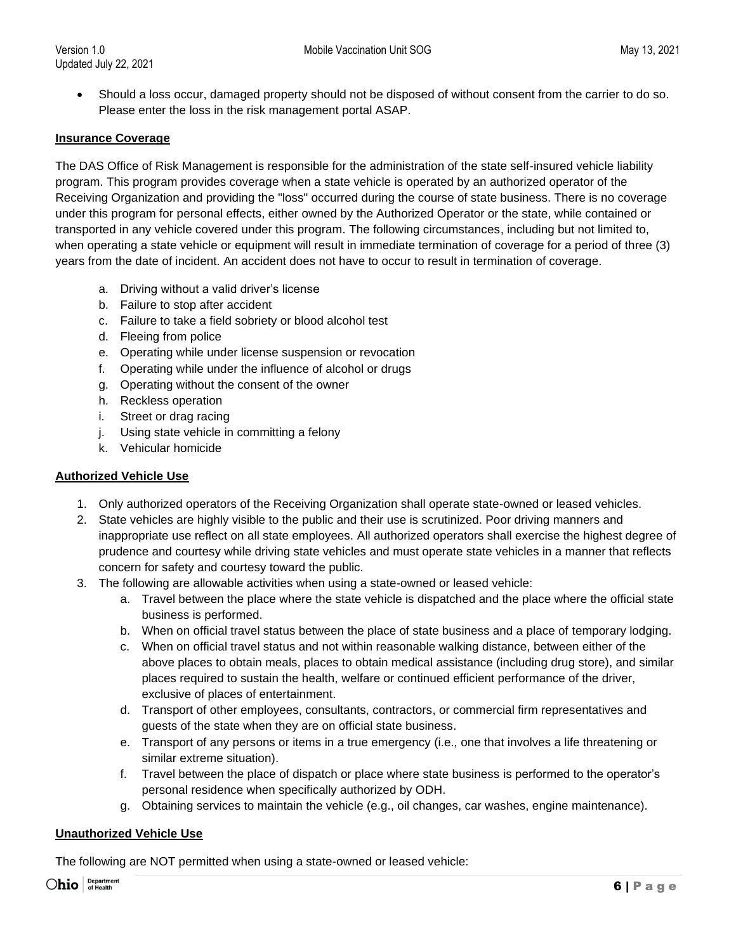Updated July 22, 2021

- 
- Should a loss occur, damaged property should not be disposed of without consent from the carrier to do so. Please enter the loss in the risk management portal ASAP.

#### **Insurance Coverage**

The DAS Office of Risk Management is responsible for the administration of the state self-insured vehicle liability program. This program provides coverage when a state vehicle is operated by an authorized operator of the Receiving Organization and providing the "loss" occurred during the course of state business. There is no coverage under this program for personal effects, either owned by the Authorized Operator or the state, while contained or transported in any vehicle covered under this program. The following circumstances, including but not limited to, when operating a state vehicle or equipment will result in immediate termination of coverage for a period of three (3) years from the date of incident. An accident does not have to occur to result in termination of coverage.

- a. Driving without a valid driver's license
- b. Failure to stop after accident
- c. Failure to take a field sobriety or blood alcohol test
- d. Fleeing from police
- e. Operating while under license suspension or revocation
- f. Operating while under the influence of alcohol or drugs
- g. Operating without the consent of the owner
- h. Reckless operation
- i. Street or drag racing
- j. Using state vehicle in committing a felony
- k. Vehicular homicide

### **Authorized Vehicle Use**

- 1. Only authorized operators of the Receiving Organization shall operate state-owned or leased vehicles.
- 2. State vehicles are highly visible to the public and their use is scrutinized. Poor driving manners and inappropriate use reflect on all state employees. All authorized operators shall exercise the highest degree of prudence and courtesy while driving state vehicles and must operate state vehicles in a manner that reflects concern for safety and courtesy toward the public.
- 3. The following are allowable activities when using a state-owned or leased vehicle:
	- a. Travel between the place where the state vehicle is dispatched and the place where the official state business is performed.
	- b. When on official travel status between the place of state business and a place of temporary lodging.
	- c. When on official travel status and not within reasonable walking distance, between either of the above places to obtain meals, places to obtain medical assistance (including drug store), and similar places required to sustain the health, welfare or continued efficient performance of the driver, exclusive of places of entertainment.
	- d. Transport of other employees, consultants, contractors, or commercial firm representatives and guests of the state when they are on official state business.
	- e. Transport of any persons or items in a true emergency (i.e., one that involves a life threatening or similar extreme situation).
	- f. Travel between the place of dispatch or place where state business is performed to the operator's personal residence when specifically authorized by ODH.
	- g. Obtaining services to maintain the vehicle (e.g., oil changes, car washes, engine maintenance).

#### **Unauthorized Vehicle Use**

The following are NOT permitted when using a state-owned or leased vehicle: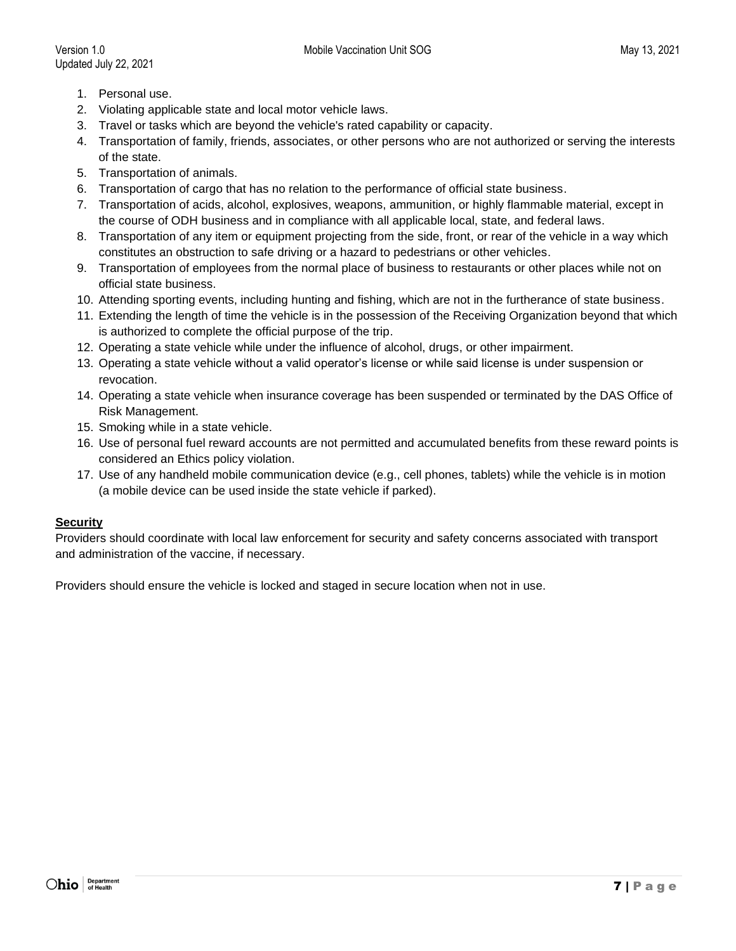- 1. Personal use.
- 2. Violating applicable state and local motor vehicle laws.
- 3. Travel or tasks which are beyond the vehicle's rated capability or capacity.
- 4. Transportation of family, friends, associates, or other persons who are not authorized or serving the interests of the state.
- 5. Transportation of animals.
- 6. Transportation of cargo that has no relation to the performance of official state business.
- 7. Transportation of acids, alcohol, explosives, weapons, ammunition, or highly flammable material, except in the course of ODH business and in compliance with all applicable local, state, and federal laws.
- 8. Transportation of any item or equipment projecting from the side, front, or rear of the vehicle in a way which constitutes an obstruction to safe driving or a hazard to pedestrians or other vehicles.
- 9. Transportation of employees from the normal place of business to restaurants or other places while not on official state business.
- 10. Attending sporting events, including hunting and fishing, which are not in the furtherance of state business.
- 11. Extending the length of time the vehicle is in the possession of the Receiving Organization beyond that which is authorized to complete the official purpose of the trip.
- 12. Operating a state vehicle while under the influence of alcohol, drugs, or other impairment.
- 13. Operating a state vehicle without a valid operator's license or while said license is under suspension or revocation.
- 14. Operating a state vehicle when insurance coverage has been suspended or terminated by the DAS Office of Risk Management.
- 15. Smoking while in a state vehicle.
- 16. Use of personal fuel reward accounts are not permitted and accumulated benefits from these reward points is considered an Ethics policy violation.
- 17. Use of any handheld mobile communication device (e.g., cell phones, tablets) while the vehicle is in motion (a mobile device can be used inside the state vehicle if parked).

## **Security**

Providers should coordinate with local law enforcement for security and safety concerns associated with transport and administration of the vaccine, if necessary.

Providers should ensure the vehicle is locked and staged in secure location when not in use.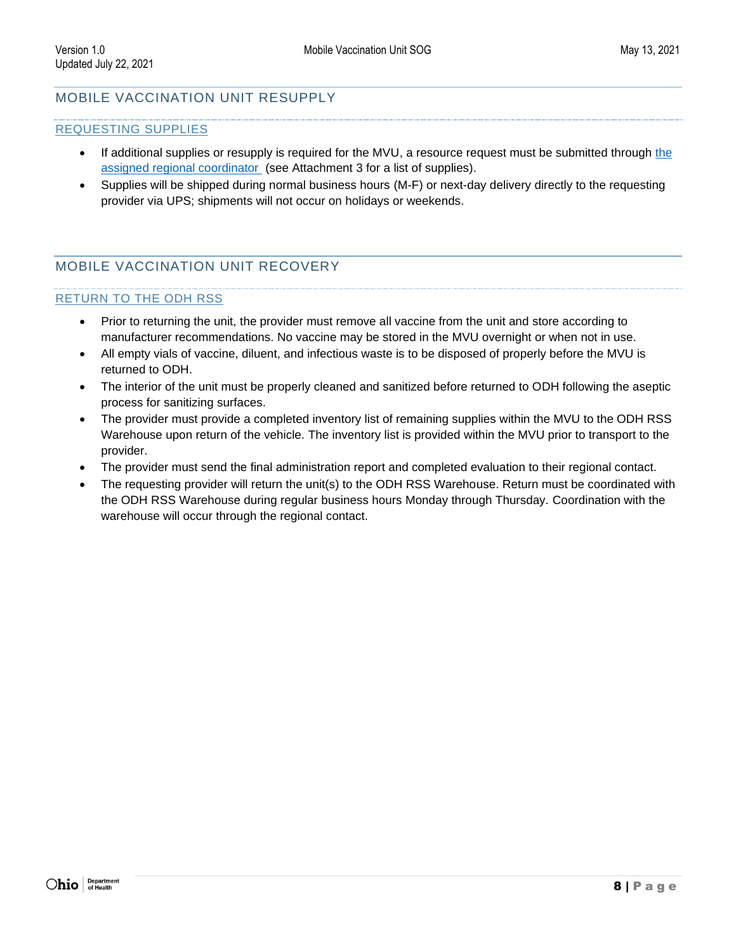# <span id="page-7-0"></span>MOBILE VACCINATION UNIT RESUPPLY

#### REQUESTING SUPPLIES

- If additional supplies or resupply is required for [the](mailto:minorityhealth@odh.ohio.gov) MVU, a resource request must be submitted through the assigned regional coordinator (see Attachment 3 for a list of supplies).
- Supplies will be shipped during normal business hours (M-F) or next-day delivery directly to the requesting provider via UPS; shipments will not occur on holidays or weekends.

# <span id="page-7-1"></span>MOBILE VACCINATION UNIT RECOVERY

#### RETURN TO THE ODH RSS

- Prior to returning the unit, the provider must remove all vaccine from the unit and store according to manufacturer recommendations. No vaccine may be stored in the MVU overnight or when not in use.
- All empty vials of vaccine, diluent, and infectious waste is to be disposed of properly before the MVU is returned to ODH.
- The interior of the unit must be properly cleaned and sanitized before returned to ODH following the aseptic process for sanitizing surfaces.
- The provider must provide a completed inventory list of remaining supplies within the MVU to the ODH RSS Warehouse upon return of the vehicle. The inventory list is provided within the MVU prior to transport to the provider.
- The provider must send the final administration report and completed evaluation to their regional contact.
- The requesting provider will return the unit(s) to the ODH RSS Warehouse. Return must be coordinated with the ODH RSS Warehouse during regular business hours Monday through Thursday. Coordination with the warehouse will occur through the regional contact.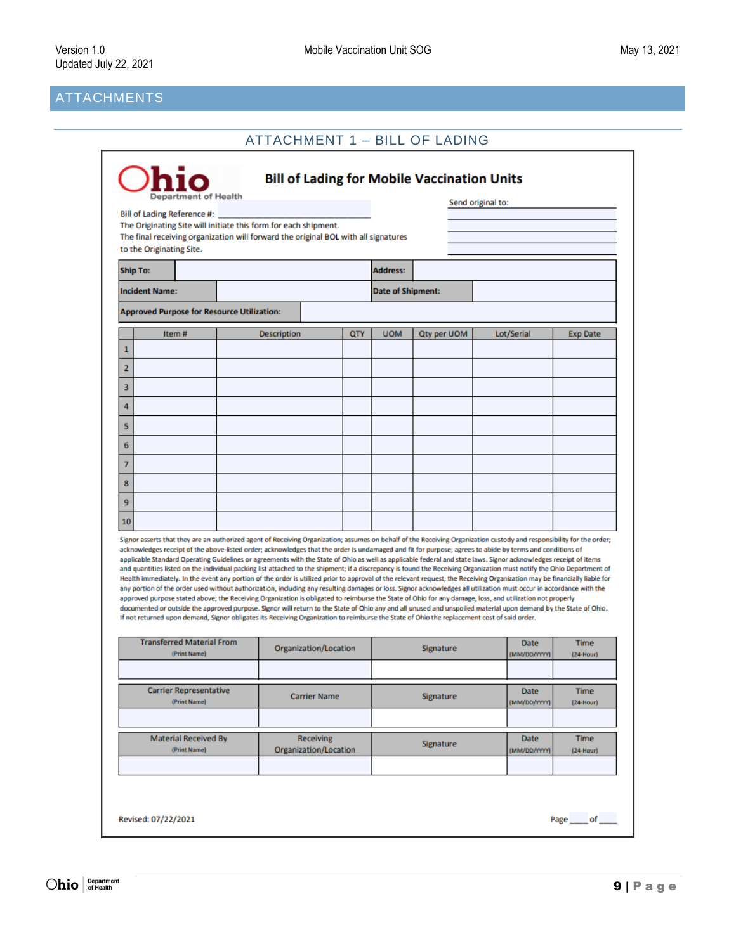# <span id="page-8-1"></span><span id="page-8-0"></span>ATTACHMENTS

| <b>ATTACHMENT 1 - BILL OF LADING</b> |  |  |  |  |
|--------------------------------------|--|--|--|--|
|--------------------------------------|--|--|--|--|

|                                                                                                                | Bill of Lading Reference #:                                                                                                                                                                     |  |                    |                                           |     |            |             | Send original to:                                                                                                                                                                                                                                                                                                                                                                                                                                                                                                                                                                                                                                                                                                                                                                                                                                                                                                                                                                                                                                                                                                                                                                                                        |                            |  |
|----------------------------------------------------------------------------------------------------------------|-------------------------------------------------------------------------------------------------------------------------------------------------------------------------------------------------|--|--------------------|-------------------------------------------|-----|------------|-------------|--------------------------------------------------------------------------------------------------------------------------------------------------------------------------------------------------------------------------------------------------------------------------------------------------------------------------------------------------------------------------------------------------------------------------------------------------------------------------------------------------------------------------------------------------------------------------------------------------------------------------------------------------------------------------------------------------------------------------------------------------------------------------------------------------------------------------------------------------------------------------------------------------------------------------------------------------------------------------------------------------------------------------------------------------------------------------------------------------------------------------------------------------------------------------------------------------------------------------|----------------------------|--|
| The Originating Site will initiate this form for each shipment.                                                |                                                                                                                                                                                                 |  |                    |                                           |     |            |             |                                                                                                                                                                                                                                                                                                                                                                                                                                                                                                                                                                                                                                                                                                                                                                                                                                                                                                                                                                                                                                                                                                                                                                                                                          |                            |  |
| The final receiving organization will forward the original BOL with all signatures<br>to the Originating Site. |                                                                                                                                                                                                 |  |                    |                                           |     |            |             |                                                                                                                                                                                                                                                                                                                                                                                                                                                                                                                                                                                                                                                                                                                                                                                                                                                                                                                                                                                                                                                                                                                                                                                                                          |                            |  |
| <b>Ship To:</b><br><b>Address:</b>                                                                             |                                                                                                                                                                                                 |  |                    |                                           |     |            |             |                                                                                                                                                                                                                                                                                                                                                                                                                                                                                                                                                                                                                                                                                                                                                                                                                                                                                                                                                                                                                                                                                                                                                                                                                          |                            |  |
|                                                                                                                | <b>Incident Name:</b>                                                                                                                                                                           |  |                    | <b>Date of Shipment:</b>                  |     |            |             |                                                                                                                                                                                                                                                                                                                                                                                                                                                                                                                                                                                                                                                                                                                                                                                                                                                                                                                                                                                                                                                                                                                                                                                                                          |                            |  |
|                                                                                                                |                                                                                                                                                                                                 |  |                    |                                           |     |            |             |                                                                                                                                                                                                                                                                                                                                                                                                                                                                                                                                                                                                                                                                                                                                                                                                                                                                                                                                                                                                                                                                                                                                                                                                                          |                            |  |
|                                                                                                                | <b>Approved Purpose for Resource Utilization:</b>                                                                                                                                               |  |                    |                                           |     |            |             |                                                                                                                                                                                                                                                                                                                                                                                                                                                                                                                                                                                                                                                                                                                                                                                                                                                                                                                                                                                                                                                                                                                                                                                                                          |                            |  |
| 1                                                                                                              | Item#                                                                                                                                                                                           |  | <b>Description</b> |                                           | QTY | <b>UOM</b> | Qty per UOM | Lot/Serial                                                                                                                                                                                                                                                                                                                                                                                                                                                                                                                                                                                                                                                                                                                                                                                                                                                                                                                                                                                                                                                                                                                                                                                                               | <b>Exp Date</b>            |  |
|                                                                                                                |                                                                                                                                                                                                 |  |                    |                                           |     |            |             |                                                                                                                                                                                                                                                                                                                                                                                                                                                                                                                                                                                                                                                                                                                                                                                                                                                                                                                                                                                                                                                                                                                                                                                                                          |                            |  |
| $\overline{2}$                                                                                                 |                                                                                                                                                                                                 |  |                    |                                           |     |            |             |                                                                                                                                                                                                                                                                                                                                                                                                                                                                                                                                                                                                                                                                                                                                                                                                                                                                                                                                                                                                                                                                                                                                                                                                                          |                            |  |
| 3                                                                                                              |                                                                                                                                                                                                 |  |                    |                                           |     |            |             |                                                                                                                                                                                                                                                                                                                                                                                                                                                                                                                                                                                                                                                                                                                                                                                                                                                                                                                                                                                                                                                                                                                                                                                                                          |                            |  |
| 4                                                                                                              |                                                                                                                                                                                                 |  |                    |                                           |     |            |             |                                                                                                                                                                                                                                                                                                                                                                                                                                                                                                                                                                                                                                                                                                                                                                                                                                                                                                                                                                                                                                                                                                                                                                                                                          |                            |  |
| 5                                                                                                              |                                                                                                                                                                                                 |  |                    |                                           |     |            |             |                                                                                                                                                                                                                                                                                                                                                                                                                                                                                                                                                                                                                                                                                                                                                                                                                                                                                                                                                                                                                                                                                                                                                                                                                          |                            |  |
| 6                                                                                                              |                                                                                                                                                                                                 |  |                    |                                           |     |            |             |                                                                                                                                                                                                                                                                                                                                                                                                                                                                                                                                                                                                                                                                                                                                                                                                                                                                                                                                                                                                                                                                                                                                                                                                                          |                            |  |
| 7                                                                                                              |                                                                                                                                                                                                 |  |                    |                                           |     |            |             |                                                                                                                                                                                                                                                                                                                                                                                                                                                                                                                                                                                                                                                                                                                                                                                                                                                                                                                                                                                                                                                                                                                                                                                                                          |                            |  |
| 8                                                                                                              |                                                                                                                                                                                                 |  |                    |                                           |     |            |             |                                                                                                                                                                                                                                                                                                                                                                                                                                                                                                                                                                                                                                                                                                                                                                                                                                                                                                                                                                                                                                                                                                                                                                                                                          |                            |  |
| 9                                                                                                              |                                                                                                                                                                                                 |  |                    |                                           |     |            |             |                                                                                                                                                                                                                                                                                                                                                                                                                                                                                                                                                                                                                                                                                                                                                                                                                                                                                                                                                                                                                                                                                                                                                                                                                          |                            |  |
| 10                                                                                                             |                                                                                                                                                                                                 |  |                    |                                           |     |            |             |                                                                                                                                                                                                                                                                                                                                                                                                                                                                                                                                                                                                                                                                                                                                                                                                                                                                                                                                                                                                                                                                                                                                                                                                                          |                            |  |
|                                                                                                                | If not returned upon demand, Signor obligates its Receiving Organization to reimburse the State of Ohio the replacement cost of said order.<br><b>Transferred Material From</b><br>(Print Name) |  |                    | Organization/Location                     |     |            | Signature   | acknowledges receipt of the above-listed order; acknowledges that the order is undamaged and fit for purpose; agrees to abide by terms and conditions of<br>applicable Standard Operating Guidelines or agreements with the State of Ohio as well as applicable federal and state laws. Signor acknowledges receipt of items<br>and quantities listed on the individual packing list attached to the shipment; if a discrepancy is found the Receiving Organization must notify the Ohio Department of<br>Health immediately. In the event any portion of the order is utilized prior to approval of the relevant request, the Receiving Organization may be financially liable for<br>any portion of the order used without authorization, including any resulting damages or loss. Signor acknowledges all utilization must occur in accordance with the<br>approved purpose stated above; the Receiving Organization is obligated to reimburse the State of Ohio for any damage, loss, and utilization not properly<br>documented or outside the approved purpose. Signor will return to the State of Ohio any and all unused and unspoiled material upon demand by the State of Ohio.<br><b>Date</b><br>(MM/DD/YYYY) | <b>Time</b><br>$(24-Hour)$ |  |
| <b>Carrier Representative</b><br><b>Carrier Name</b><br>(Print Name)                                           |                                                                                                                                                                                                 |  |                    |                                           |     |            | Signature   | <b>Date</b><br>(MM/DD/YYYY)                                                                                                                                                                                                                                                                                                                                                                                                                                                                                                                                                                                                                                                                                                                                                                                                                                                                                                                                                                                                                                                                                                                                                                                              | <b>Time</b><br>$(24-Hour)$ |  |
|                                                                                                                |                                                                                                                                                                                                 |  |                    |                                           |     |            |             |                                                                                                                                                                                                                                                                                                                                                                                                                                                                                                                                                                                                                                                                                                                                                                                                                                                                                                                                                                                                                                                                                                                                                                                                                          |                            |  |
|                                                                                                                | <b>Material Received By</b><br>(Print Name)                                                                                                                                                     |  |                    | <b>Receiving</b><br>Organization/Location |     |            | Signature   | <b>Date</b><br>(MM/DD/YYYY)                                                                                                                                                                                                                                                                                                                                                                                                                                                                                                                                                                                                                                                                                                                                                                                                                                                                                                                                                                                                                                                                                                                                                                                              | <b>Time</b><br>$(24-Hour)$ |  |
|                                                                                                                |                                                                                                                                                                                                 |  |                    |                                           |     |            |             |                                                                                                                                                                                                                                                                                                                                                                                                                                                                                                                                                                                                                                                                                                                                                                                                                                                                                                                                                                                                                                                                                                                                                                                                                          |                            |  |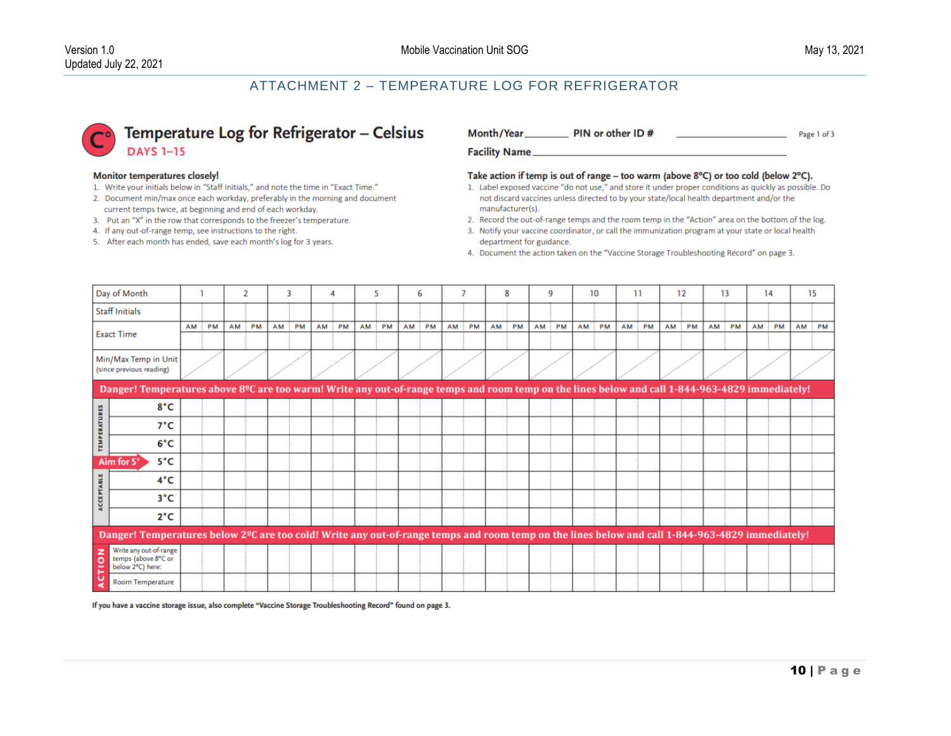## ATTACHMENT 2 – TEMPERATURE LOG FOR REFRIGERATOR



#### **Monitor temperatures closely!**

- 1. Write your initials below in "Staff Initials," and note the time in "Exact Time."
- 2. Document min/max once each workday, preferably in the morning and document current temps twice, at beginning and end of each workday.
- 3. Put an "X" in the row that corresponds to the freezer's temperature.
- 4. If any out-of-range temp, see instructions to the right.
- 5. After each month has ended, save each month's log for 3 years.

| Month/Year<br>PIN or other ID# | Page 1 of 3 |
|--------------------------------|-------------|
|--------------------------------|-------------|

Facility Name\_

#### Take action if temp is out of range - too warm (above 8°C) or too cold (below 2°C).

- 1. Label exposed vaccine "do not use," and store it under proper conditions as quickly as possible. Do not discard vaccines unless directed to by your state/local health department and/or the manufacturer(s).
- 2. Record the out-of-range temps and the room temp in the "Action" area on the bottom of the log.
- 3. Notify your vaccine coordinator, or call the immunization program at your state or local health department for guidance.
- 4. Document the action taken on the "Vaccine Storage Troubleshooting Record" on page 3.

<span id="page-9-0"></span>

|                   | Day of Month                                                                                                                                                 |      |           |           | 2         | 3     | 4  |           | 5  |           |        | 6         | 7  |           | 8     |    | 9         |           | 10        | 11   |           | 12        |           | 13        |           | 14   |           |    | 15        |
|-------------------|--------------------------------------------------------------------------------------------------------------------------------------------------------------|------|-----------|-----------|-----------|-------|----|-----------|----|-----------|--------|-----------|----|-----------|-------|----|-----------|-----------|-----------|------|-----------|-----------|-----------|-----------|-----------|------|-----------|----|-----------|
|                   | <b>Staff Initials</b>                                                                                                                                        |      |           |           |           |       |    |           |    |           |        |           |    |           |       |    |           |           |           |      |           |           |           |           |           |      |           |    |           |
|                   | <b>Exact Time</b>                                                                                                                                            | AM : | <b>PM</b> | <b>AM</b> | <b>PM</b> | AM PM | AM | <b>PM</b> | AM | <b>PM</b> | $AM$ : | <b>PM</b> | AM | <b>PM</b> | AM PM | AM | <b>PM</b> | <b>AM</b> | <b>PM</b> | AM : | <b>PM</b> | <b>AM</b> | <b>PM</b> | <b>AM</b> | <b>PM</b> | AM : | <b>PM</b> | AM | <b>PM</b> |
|                   | Min/Max Temp in Unit<br>(since previous reading)                                                                                                             |      |           |           |           |       |    |           |    |           |        |           |    |           |       |    |           |           |           |      |           |           |           |           |           |      |           |    |           |
|                   | Danger! Temperatures above 8ºC are too warm! Write any out-of-range temps and room temp on the lines below and call 1-844-963-4829 immediately!              |      |           |           |           |       |    |           |    |           |        |           |    |           |       |    |           |           |           |      |           |           |           |           |           |      |           |    |           |
| <b>SS</b>         | 8°C                                                                                                                                                          |      |           |           |           |       |    |           |    |           |        |           |    |           |       |    |           |           |           |      |           |           |           |           |           |      |           |    |           |
| <b>PERATURE</b>   | 7°C                                                                                                                                                          |      |           |           |           |       |    |           |    |           |        |           |    |           |       |    |           |           |           |      |           |           |           |           |           |      |           |    |           |
| 惡                 | $6^{\circ}$ C                                                                                                                                                |      |           |           |           |       |    |           |    |           |        |           |    |           |       |    |           |           |           |      |           |           |           |           |           |      |           |    |           |
|                   | Aim for 5°<br>5°C                                                                                                                                            |      |           |           |           |       |    |           |    |           |        |           |    |           |       |    |           |           |           |      |           |           |           |           |           |      |           |    |           |
|                   | $4^{\circ}$ C                                                                                                                                                |      |           |           |           |       |    |           |    |           |        |           |    |           |       |    |           |           |           |      |           |           |           |           |           |      |           |    |           |
| <b>ACCEPTABLE</b> | $3^{\circ}$ C                                                                                                                                                |      |           |           |           |       |    |           |    |           |        |           |    |           |       |    |           |           |           |      |           |           |           |           |           |      |           |    |           |
|                   | $2^{\circ}C$                                                                                                                                                 |      |           |           |           |       |    |           |    |           |        |           |    |           |       |    |           |           |           |      |           |           |           |           |           |      |           |    |           |
|                   | Danger! Temperatures below 2 <sup>o</sup> C are too cold! Write any out-of-range temps and room temp on the lines below and call 1-844-963-4829 immediately! |      |           |           |           |       |    |           |    |           |        |           |    |           |       |    |           |           |           |      |           |           |           |           |           |      |           |    |           |
| z<br>$\circ$      | Write any out-of-range<br>temps (above 8°C or<br>below 2°C) here:                                                                                            |      |           |           |           |       |    |           |    |           |        |           |    |           |       |    |           |           |           |      |           |           |           |           |           |      |           |    |           |
| ⋖                 | Room Temperature                                                                                                                                             |      |           |           |           |       |    |           |    |           |        |           |    |           |       |    |           |           |           |      |           |           |           |           |           |      |           |    |           |

If you have a vaccine storage issue, also complete "Vaccine Storage Troubleshooting Record" found on page 3.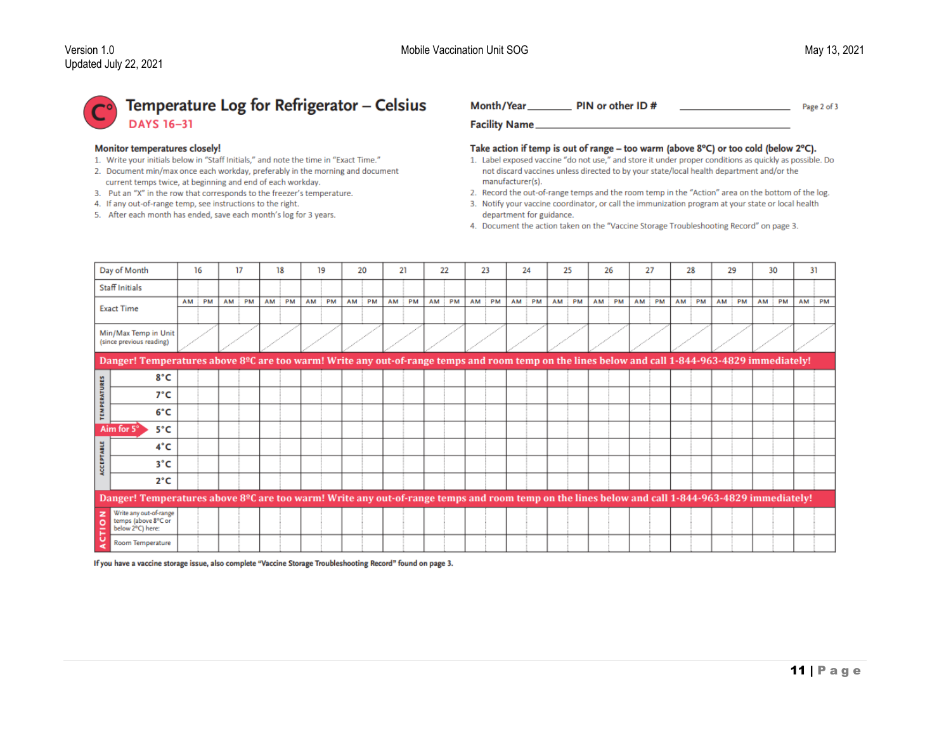

#### **Monitor temperatures closely!**

- 1. Write your initials below in "Staff Initials," and note the time in "Exact Time."
- 2. Document min/max once each workday, preferably in the morning and document current temps twice, at beginning and end of each workday.
- 3. Put an "X" in the row that corresponds to the freezer's temperature.
- 4. If any out-of-range temp, see instructions to the right.
- 5. After each month has ended, save each month's log for 3 years.

| PIN or other ID#<br>Month/Year | Page 2 of 3 |
|--------------------------------|-------------|
|--------------------------------|-------------|

**Facility Name** 

#### Take action if temp is out of range - too warm (above 8°C) or too cold (below 2°C).

- 1. Label exposed vaccine "do not use," and store it under proper conditions as quickly as possible. Do not discard vaccines unless directed to by your state/local health department and/or the manufacturer(s).
- 2. Record the out-of-range temps and the room temp in the "Action" area on the bottom of the log.
- 3. Notify your vaccine coordinator, or call the immunization program at your state or local health department for guidance.
- 4. Document the action taken on the "Vaccine Storage Troubleshooting Record" on page 3.

|              | Day of Month                                                                                                                                    |    | 16        |    | 17        |    | 18        |    | 19        |           | 20        |    | 21        |    | 22        | 23    | 24    | 25    |    | 26        |           | 27        |           | 28        |           | 29 |           | 30        | 31    |
|--------------|-------------------------------------------------------------------------------------------------------------------------------------------------|----|-----------|----|-----------|----|-----------|----|-----------|-----------|-----------|----|-----------|----|-----------|-------|-------|-------|----|-----------|-----------|-----------|-----------|-----------|-----------|----|-----------|-----------|-------|
|              | <b>Staff Initials</b>                                                                                                                           |    |           |    |           |    |           |    |           |           |           |    |           |    |           |       |       |       |    |           |           |           |           |           |           |    |           |           |       |
|              | <b>Exact Time</b>                                                                                                                               | AM | <b>PM</b> | AM | <b>PM</b> | AM | <b>PM</b> | AM | <b>PM</b> | <b>AM</b> | <b>PM</b> | AM | <b>PM</b> | AM | <b>PM</b> | AM PM | AM PM | AM PM | AM | <b>PM</b> | <b>AM</b> | <b>PM</b> | <b>AM</b> | <b>PM</b> | <b>AM</b> | PM | <b>AM</b> | <b>PM</b> | AM PM |
|              | Min/Max Temp in Unit<br>(since previous reading)                                                                                                |    |           |    |           |    |           |    |           |           |           |    |           |    |           |       |       |       |    |           |           |           |           |           |           |    |           |           |       |
|              | Danger! Temperatures above 8ºC are too warm! Write any out-of-range temps and room temp on the lines below and call 1-844-963-4829 immediately! |    |           |    |           |    |           |    |           |           |           |    |           |    |           |       |       |       |    |           |           |           |           |           |           |    |           |           |       |
|              | 8°C                                                                                                                                             |    |           |    |           |    |           |    |           |           |           |    |           |    |           |       |       |       |    |           |           |           |           |           |           |    |           |           |       |
| PERATURES    | 7°C                                                                                                                                             |    |           |    |           |    |           |    |           |           |           |    |           |    |           |       |       |       |    |           |           |           |           |           |           |    |           |           |       |
| z<br>ш       | $6^{\circ}$ C                                                                                                                                   |    |           |    |           |    |           |    |           |           |           |    |           |    |           |       |       |       |    |           |           |           |           |           |           |    |           |           |       |
|              | Aim for 5°<br>5°C                                                                                                                               |    |           |    |           |    |           |    |           |           |           |    |           |    |           |       |       |       |    |           |           |           |           |           |           |    |           |           |       |
| <b>ABLE</b>  | $4^{\circ}$ C                                                                                                                                   |    |           |    |           |    |           |    |           |           |           |    |           |    |           |       |       |       |    |           |           |           |           |           |           |    |           |           |       |
| <b>CCEPT</b> | $3^{\circ}$ C                                                                                                                                   |    |           |    |           |    |           |    |           |           |           |    |           |    |           |       |       |       |    |           |           |           |           |           |           |    |           |           |       |
|              | $2^{\circ}$ C                                                                                                                                   |    |           |    |           |    |           |    |           |           |           |    |           |    |           |       |       |       |    |           |           |           |           |           |           |    |           |           |       |
|              | Danger! Temperatures above 8ºC are too warm! Write any out-of-range temps and room temp on the lines below and call 1-844-963-4829 immediately! |    |           |    |           |    |           |    |           |           |           |    |           |    |           |       |       |       |    |           |           |           |           |           |           |    |           |           |       |
| Е            | Write any out-of-range<br>temps (above 8°C or<br>below 2°C) here:                                                                               |    |           |    |           |    |           |    |           |           |           |    |           |    |           |       |       |       |    |           |           |           |           |           |           |    |           |           |       |
|              | Room Temperature                                                                                                                                |    |           |    |           |    |           |    |           |           |           |    |           |    |           |       |       |       |    |           |           |           |           |           |           |    |           |           |       |

If you have a vaccine storage issue, also complete "Vaccine Storage Troubleshooting Record" found on page 3.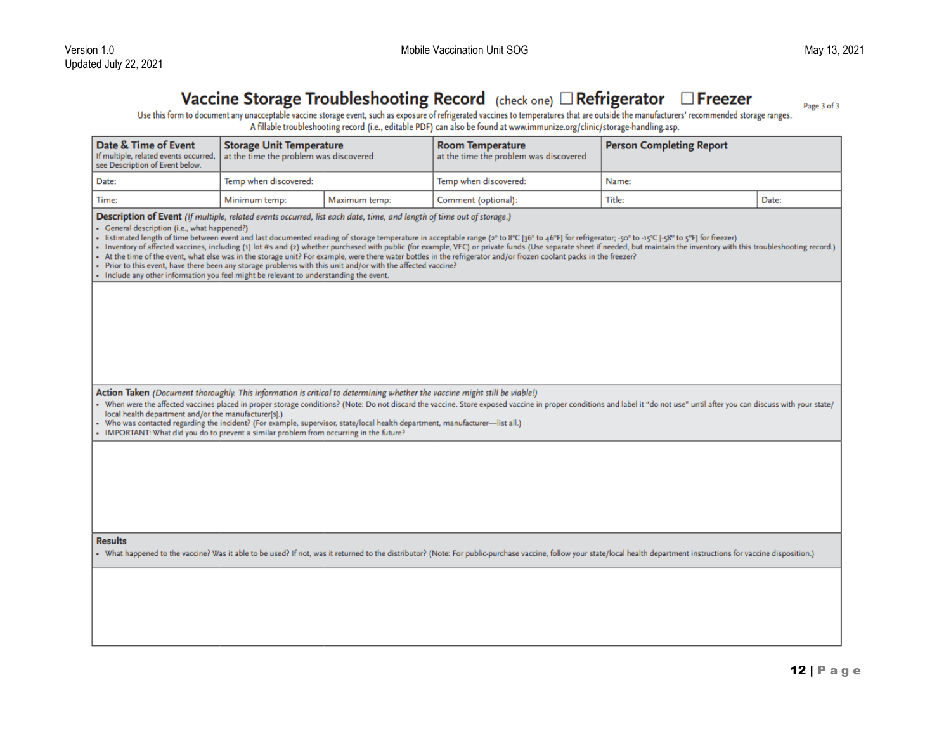# Vaccine Storage Troubleshooting Record (check one) DRefrigerator DFreezer

Page 3 of 3

Use this form to document any unacceptable vaccine storage event, such as exposure of refrigerated vaccines to temperatures that are outside the manufacturers' recommended storage ranges. A fillable troubleshooting record (i.e., editable PDF) can also be found at www.immunize.org/clinic/storage-handling.asp.

| Date & Time of Event<br>If multiple, related events occurred,<br>see Description of Event below.                                                                                                                                                                                                                                                                                                              | <b>Storage Unit Temperature</b><br>at the time the problem was discovered                                                                                                                                                                                                                                                                                                                                                                                                                                                                                                                                                                                                                                                                                                                                                                                                                                                                                                                       |               | <b>Room Temperature</b><br>at the time the problem was discovered                                                                                                                                                           | <b>Person Completing Report</b> |       |  |  |  |  |  |  |
|---------------------------------------------------------------------------------------------------------------------------------------------------------------------------------------------------------------------------------------------------------------------------------------------------------------------------------------------------------------------------------------------------------------|-------------------------------------------------------------------------------------------------------------------------------------------------------------------------------------------------------------------------------------------------------------------------------------------------------------------------------------------------------------------------------------------------------------------------------------------------------------------------------------------------------------------------------------------------------------------------------------------------------------------------------------------------------------------------------------------------------------------------------------------------------------------------------------------------------------------------------------------------------------------------------------------------------------------------------------------------------------------------------------------------|---------------|-----------------------------------------------------------------------------------------------------------------------------------------------------------------------------------------------------------------------------|---------------------------------|-------|--|--|--|--|--|--|
| Date:                                                                                                                                                                                                                                                                                                                                                                                                         | Temp when discovered:                                                                                                                                                                                                                                                                                                                                                                                                                                                                                                                                                                                                                                                                                                                                                                                                                                                                                                                                                                           |               | Temp when discovered:                                                                                                                                                                                                       | Name:                           |       |  |  |  |  |  |  |
| Time:                                                                                                                                                                                                                                                                                                                                                                                                         | Minimum temp:                                                                                                                                                                                                                                                                                                                                                                                                                                                                                                                                                                                                                                                                                                                                                                                                                                                                                                                                                                                   | Maximum temp: | Comment (optional):                                                                                                                                                                                                         | Title:                          | Date: |  |  |  |  |  |  |
|                                                                                                                                                                                                                                                                                                                                                                                                               | Description of Event (If multiple, related events occurred, list each date, time, and length of time out of storage.)<br>• General description (i.e., what happened?)<br>· Estimated length of time between event and last documented reading of storage temperature in acceptable range (2° to 8°C [36° to 46°F] for refrigerator; -50° to -15°C [-58° to 5°F] for freezer)<br>· Inventory of affected vaccines, including (1) lot #s and (2) whether purchased with public (for example, VFC) or private funds (Use separate sheet if needed, but maintain the inventory with this troubleshooting record.)<br>• At the time of the event, what else was in the storage unit? For example, were there water bottles in the refrigerator and/or frozen coolant packs in the freezer?<br>· Prior to this event, have there been any storage problems with this unit and/or with the affected vaccine?<br>- Include any other information you feel might be relevant to understanding the event. |               |                                                                                                                                                                                                                             |                                 |       |  |  |  |  |  |  |
|                                                                                                                                                                                                                                                                                                                                                                                                               |                                                                                                                                                                                                                                                                                                                                                                                                                                                                                                                                                                                                                                                                                                                                                                                                                                                                                                                                                                                                 |               |                                                                                                                                                                                                                             |                                 |       |  |  |  |  |  |  |
| Action Taken (Document thoroughly. This information is critical to determining whether the vaccine might still be viable!)<br>local health department and/or the manufacturer[s].)<br>. Who was contacted regarding the incident? (For example, supervisor, state/local health department, manufacturer-list all.)<br>• IMPORTANT: What did you do to prevent a similar problem from occurring in the future? |                                                                                                                                                                                                                                                                                                                                                                                                                                                                                                                                                                                                                                                                                                                                                                                                                                                                                                                                                                                                 |               | · When were the affected vaccines placed in proper storage conditions? (Note: Do not discard the vaccine. Store exposed vaccine in proper conditions and label it "do not use" until after you can discuss with your state/ |                                 |       |  |  |  |  |  |  |
| <b>Results</b>                                                                                                                                                                                                                                                                                                                                                                                                |                                                                                                                                                                                                                                                                                                                                                                                                                                                                                                                                                                                                                                                                                                                                                                                                                                                                                                                                                                                                 |               | · What happened to the vaccine? Was it able to be used? If not, was it returned to the distributor? (Note: For public-purchase vaccine, follow your state/local health department instructions for vaccine disposition.)    |                                 |       |  |  |  |  |  |  |
|                                                                                                                                                                                                                                                                                                                                                                                                               |                                                                                                                                                                                                                                                                                                                                                                                                                                                                                                                                                                                                                                                                                                                                                                                                                                                                                                                                                                                                 |               |                                                                                                                                                                                                                             |                                 |       |  |  |  |  |  |  |